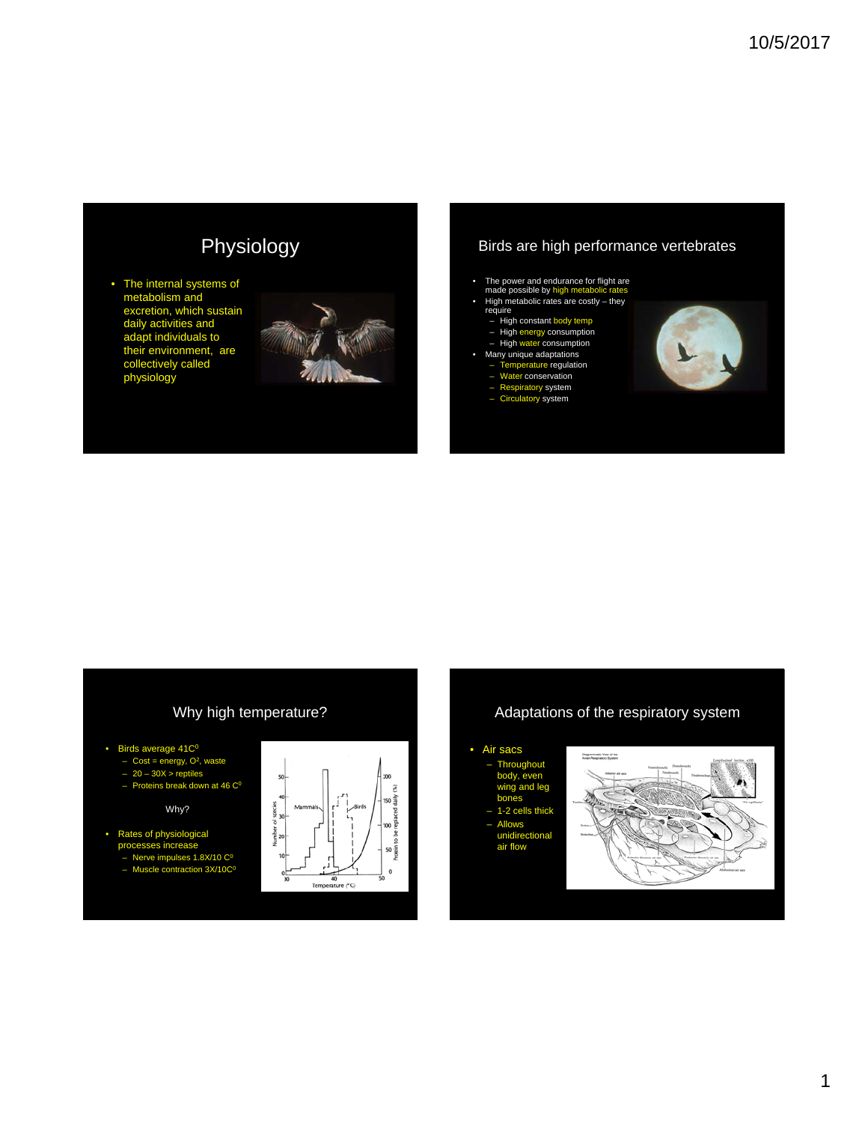# Physiology

• The internal systems of metabolism and excretion, which sustain daily activities and adapt individuals to their environment, are collectively called physiology



#### Birds are high performance vertebrates

- 
- The power and endurance for flight are made possible by high metabolic rates High metabolic rates are costly they require
- 
- - High constant body temp<br>– High energy consumption<br>– High water consumption
	-
	-
- Many unique adaptations Temperature regulation Water conservation Respiratory system Circulatory system
	-
	-
	-



#### Why high temperature? • Birds average  $41C<sup>0</sup>$  $-$  Cost = energy,  $O<sup>2</sup>$ , waste – 20 – 30X > reptiles  $-$  Proteins break down at 46  $C<sup>0</sup>$ Why? to be • Rates of physiological processes increase so<br>Protein  $-$  Nerve impulses 1.8X/10  $C<sup>0</sup>$ – Muscle contraction  $3X/10C<sup>0</sup>$  $\mathbf{0}$  $\frac{1}{40}$ Temperature (°C)

#### Adaptations of the respiratory system

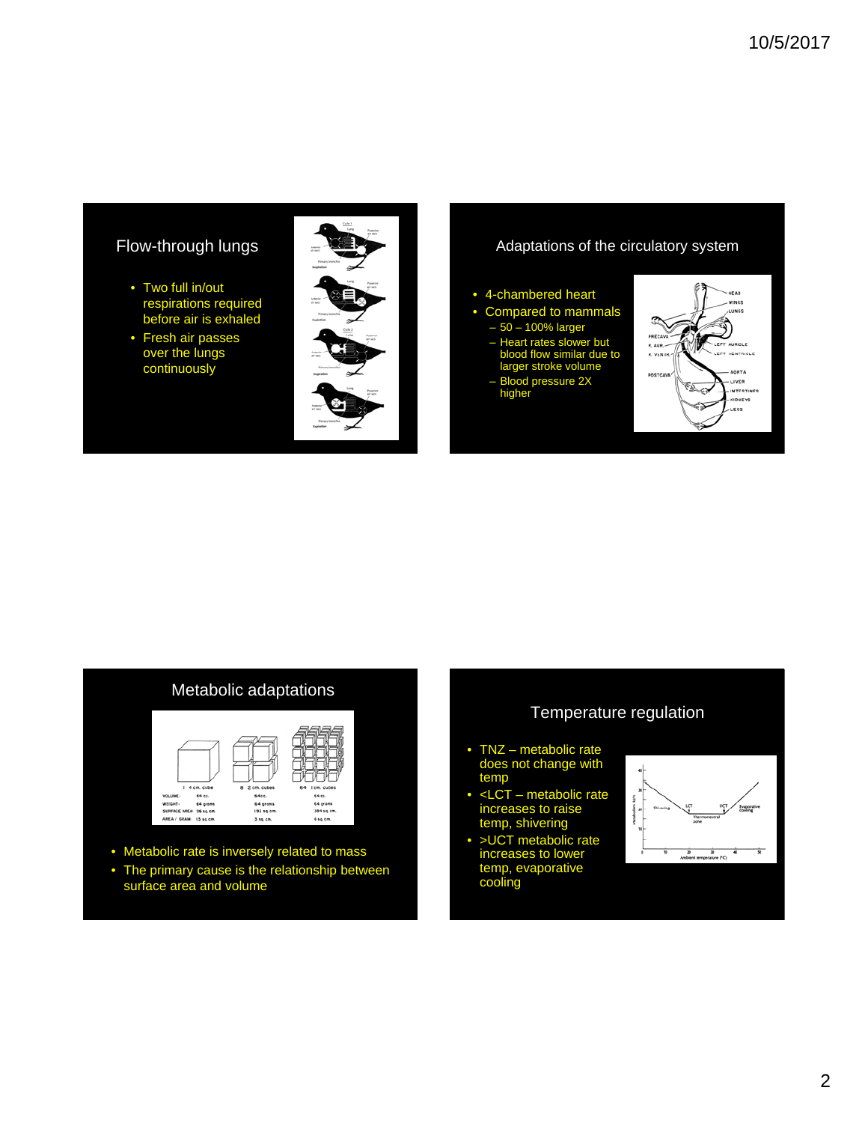### Flow-through lungs

- Two full in/out respirations required before air is exhaled
- Fresh air passes over the lungs continuously



#### Adaptations of the circulatory system

#### • 4-chambered heart

- Compared to mammals
- 50 100% larger
- Heart rates slower but blood flow similar due to larger stroke volume
- Blood pressure 2X higher



#### Metabolic adaptations



- Metabolic rate is inversely related to mass
- The primary cause is the relationship between surface area and volume

#### Temperature regulation

- TNZ metabolic rate does not change with temp
- <LCT metabolic rate increases to raise temp, shivering
- >UCT metabolic rate increases to lower temp, evaporative cooling

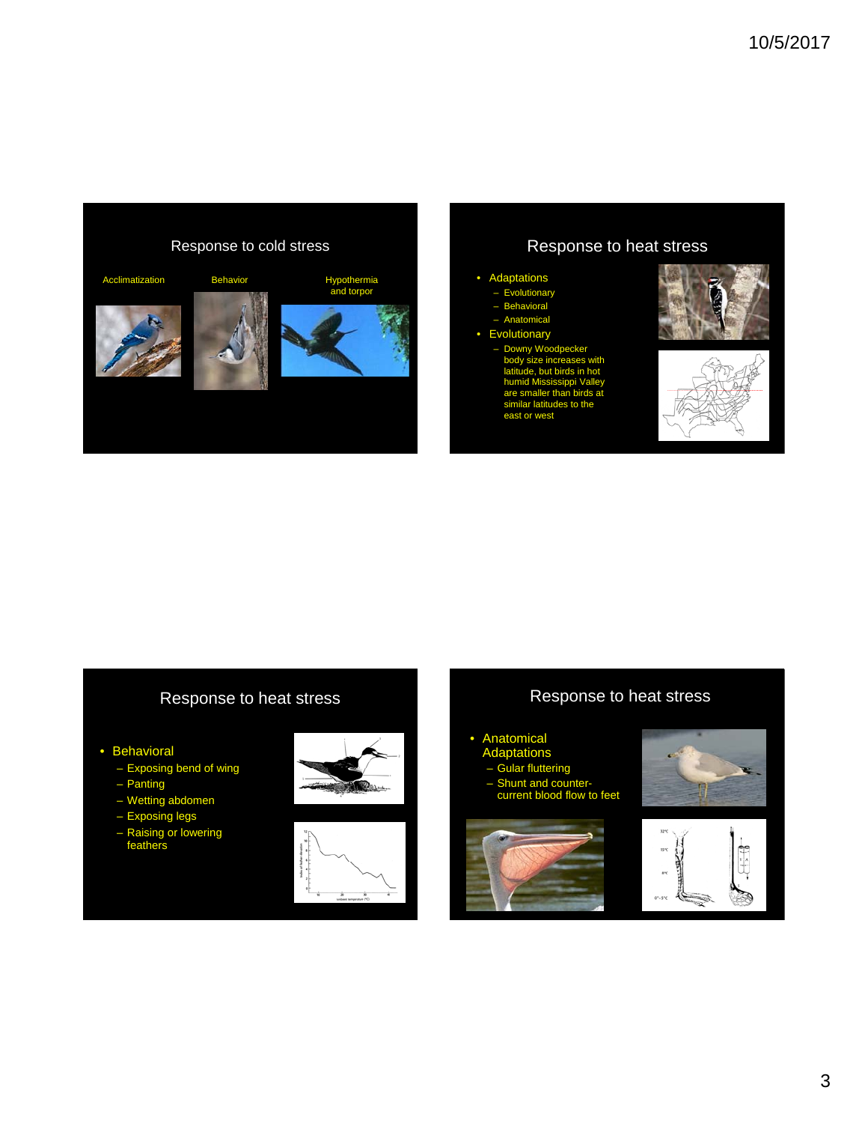

### Response to heat stress

#### • Adaptations

- Evolutionary
- **Behavioral**
- Anatomical
- **Evolutionary** 
	- Downy Woodpecker body size increases with latitude, but birds in hot humid Mississippi Valley smaller than bir<br>lar latitudes to t ar lati east or west





### Response to heat stress

- Behavioral
	- Exposing bend of wing
	- Panting
	- Wetting abdomen
	- Exposing legs
	- Raising or lowering feathers





#### Response to heat stress

- Anatomical
- **Adaptations**
- Gular fluttering
- Shunt and countercurrent blood flow to feet